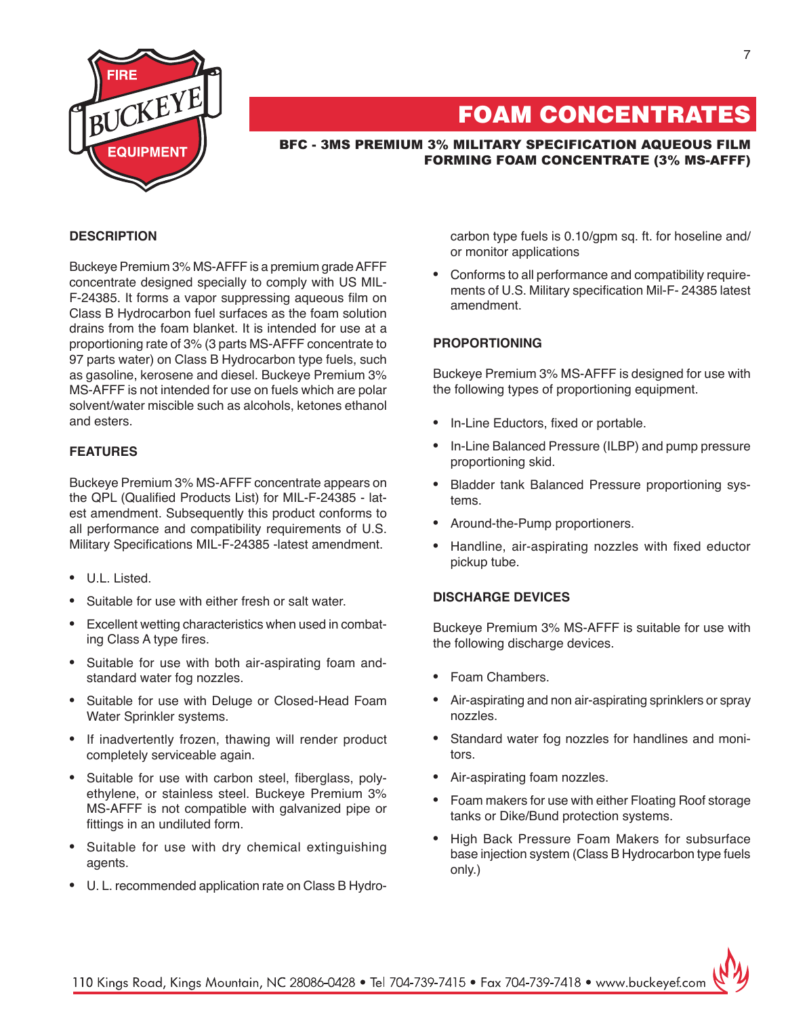

# FOAM CONCENTRATES

BFC - 3MS Premium 3% MILITARY SPECIFICATION AQUEOUS FILM FORMING FOAM CONCENTRATE (3% MS-AFFF)

# **DESCRIPTION**

Buckeye Premium 3% MS-AFFF is a premium grade AFFF concentrate designed specially to comply with US MIL-F-24385. It forms a vapor suppressing aqueous film on Class B Hydrocarbon fuel surfaces as the foam solution drains from the foam blanket. It is intended for use at a proportioning rate of 3% (3 parts MS-AFFF concentrate to 97 parts water) on Class B Hydrocarbon type fuels, such as gasoline, kerosene and diesel. Buckeye Premium 3% MS-AFFF is not intended for use on fuels which are polar solvent/water miscible such as alcohols, ketones ethanol and esters.

# **FEATURES**

Buckeye Premium 3% MS-AFFF concentrate appears on the QPL (Qualified Products List) for MIL-F-24385 - latest amendment. Subsequently this product conforms to all performance and compatibility requirements of U.S. Military Specifications MIL-F-24385 -latest amendment.

- U.L. Listed.
- Suitable for use with either fresh or salt water
- • Excellent wetting characteristics when used in combating Class A type fires.
- • Suitable for use with both air-aspirating foam andstandard water fog nozzles.
- • Suitable for use with Deluge or Closed-Head Foam Water Sprinkler systems.
- If inadvertently frozen, thawing will render product completely serviceable again.
- Suitable for use with carbon steel, fiberglass, polyethylene, or stainless steel. Buckeye Premium 3% MS-AFFF is not compatible with galvanized pipe or fittings in an undiluted form.
- • Suitable for use with dry chemical extinguishing agents.
- • U. L. recommended application rate on Class B Hydro-

carbon type fuels is 0.10/gpm sq. ft. for hoseline and/ or monitor applications

• Conforms to all performance and compatibility requirements of U.S. Military specification Mil-F- 24385 latest amendment.

## **PROPORTIONING**

Buckeye Premium 3% MS-AFFF is designed for use with the following types of proportioning equipment.

- In-Line Eductors, fixed or portable.
- In-Line Balanced Pressure (ILBP) and pump pressure proportioning skid.
- • Bladder tank Balanced Pressure proportioning systems.
- • Around-the-Pump proportioners.
- Handline, air-aspirating nozzles with fixed eductor pickup tube.

#### **DISCHARGE DEVICES**

Buckeye Premium 3% MS-AFFF is suitable for use with the following discharge devices.

- Foam Chambers.
- Air-aspirating and non air-aspirating sprinklers or spray nozzles.
- • Standard water fog nozzles for handlines and monitors.
- Air-aspirating foam nozzles.
- Foam makers for use with either Floating Roof storage tanks or Dike/Bund protection systems.
- High Back Pressure Foam Makers for subsurface base injection system (Class B Hydrocarbon type fuels only.)